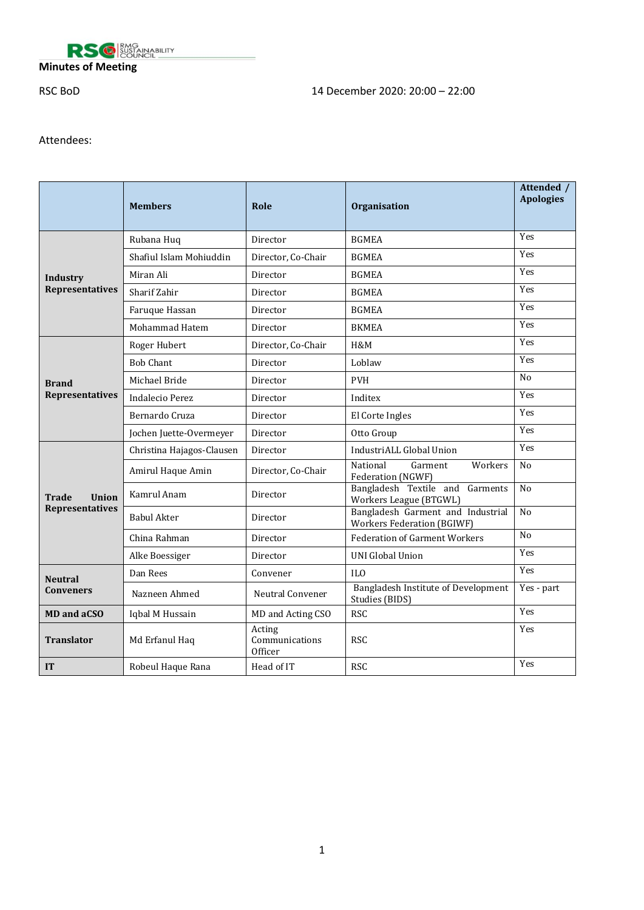

## **Minutes of Meeting**

# RSC BoD 14 December 2020: 20:00 – 22:00

## Attendees:

|                                           | <b>Members</b>            | Role                                | Organisation                                                           | Attended /<br><b>Apologies</b> |
|-------------------------------------------|---------------------------|-------------------------------------|------------------------------------------------------------------------|--------------------------------|
|                                           | Rubana Huq                | Director                            | <b>BGMEA</b>                                                           | Yes                            |
|                                           | Shafiul Islam Mohiuddin   | Director, Co-Chair                  | <b>BGMEA</b>                                                           | Yes                            |
| <b>Industry</b><br><b>Representatives</b> | Miran Ali                 | Director                            | <b>BGMEA</b>                                                           | Yes                            |
|                                           | Sharif Zahir              | Director                            | <b>BGMEA</b>                                                           | Yes                            |
|                                           | Faruque Hassan            | Director                            | <b>BGMEA</b>                                                           | Yes                            |
|                                           | Mohammad Hatem            | Director                            | <b>BKMEA</b>                                                           | Yes                            |
|                                           | Roger Hubert              | Director, Co-Chair                  | H&M                                                                    | Yes                            |
|                                           | <b>Bob Chant</b>          | Director                            | Loblaw                                                                 | Yes                            |
| <b>Brand</b>                              | Michael Bride             | Director                            | <b>PVH</b>                                                             | N <sub>0</sub>                 |
| <b>Representatives</b>                    | <b>Indalecio Perez</b>    | Director                            | Inditex                                                                | Yes                            |
|                                           | Bernardo Cruza            | Director                            | El Corte Ingles                                                        | Yes                            |
|                                           | Jochen Juette-Overmeyer   | Director                            | Otto Group                                                             | Yes                            |
|                                           | Christina Hajagos-Clausen | Director                            | IndustriALL Global Union                                               | Yes                            |
|                                           | Amirul Haque Amin         | Director, Co-Chair                  | National<br>Garment<br>Workers<br>Federation (NGWF)                    | N <sub>0</sub>                 |
| <b>Union</b><br>Trade                     | Kamrul Anam               | Director                            | Bangladesh Textile and<br>Garments<br>Workers League (BTGWL)           | No                             |
| <b>Representatives</b>                    | <b>Babul Akter</b>        | Director                            | Bangladesh Garment and Industrial<br><b>Workers Federation (BGIWF)</b> | No                             |
|                                           | China Rahman              | Director                            | <b>Federation of Garment Workers</b>                                   | No                             |
|                                           | Alke Boessiger            | Director                            | <b>UNI Global Union</b>                                                | Yes                            |
| <b>Neutral</b><br><b>Conveners</b>        | Dan Rees                  | Convener                            | IL <sub>0</sub>                                                        | Yes                            |
|                                           | Nazneen Ahmed             | <b>Neutral Convener</b>             | Bangladesh Institute of Development<br>Studies (BIDS)                  | Yes - part                     |
| <b>MD</b> and aCSO                        | Iqbal M Hussain           | MD and Acting CSO                   | <b>RSC</b>                                                             | Yes                            |
| <b>Translator</b>                         | Md Erfanul Haq            | Acting<br>Communications<br>Officer | <b>RSC</b>                                                             | Yes                            |
| <b>IT</b>                                 | Robeul Haque Rana         | Head of IT                          | <b>RSC</b>                                                             | Yes                            |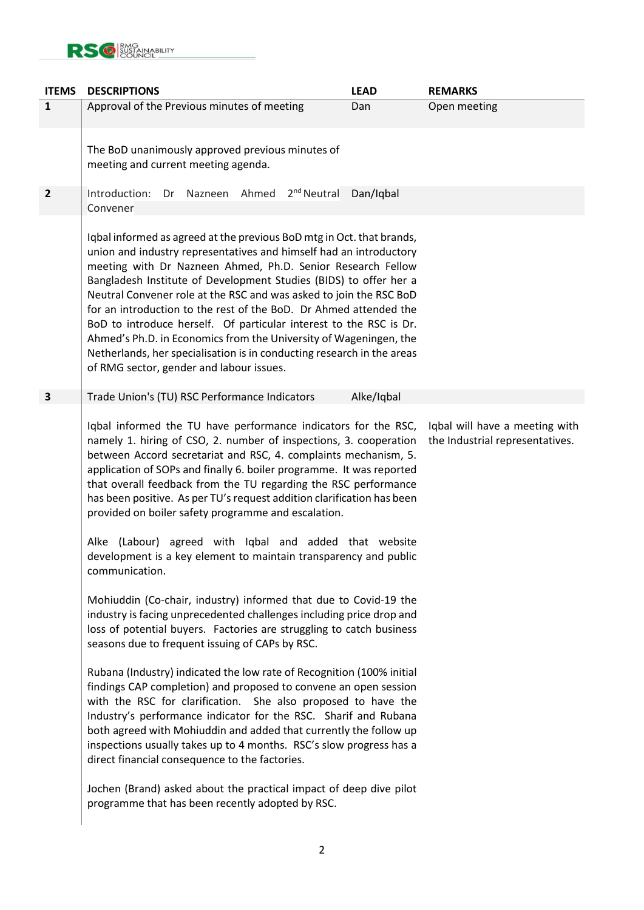

| <b>ITEMS</b>            | <b>DESCRIPTIONS</b>                                                                                                                                                                                                                                                                                                                                                                                                                                                                                                                                                                                                                                                                                                                                                                                                                                                                                                                                                                                                                                                                                                                                                                                                                                                                                                                                                                                                                                                                                                | <b>LEAD</b> | <b>REMARKS</b>                                                    |  |
|-------------------------|--------------------------------------------------------------------------------------------------------------------------------------------------------------------------------------------------------------------------------------------------------------------------------------------------------------------------------------------------------------------------------------------------------------------------------------------------------------------------------------------------------------------------------------------------------------------------------------------------------------------------------------------------------------------------------------------------------------------------------------------------------------------------------------------------------------------------------------------------------------------------------------------------------------------------------------------------------------------------------------------------------------------------------------------------------------------------------------------------------------------------------------------------------------------------------------------------------------------------------------------------------------------------------------------------------------------------------------------------------------------------------------------------------------------------------------------------------------------------------------------------------------------|-------------|-------------------------------------------------------------------|--|
| $\mathbf{1}$            | Approval of the Previous minutes of meeting                                                                                                                                                                                                                                                                                                                                                                                                                                                                                                                                                                                                                                                                                                                                                                                                                                                                                                                                                                                                                                                                                                                                                                                                                                                                                                                                                                                                                                                                        | Dan         | Open meeting                                                      |  |
|                         | The BoD unanimously approved previous minutes of<br>meeting and current meeting agenda.                                                                                                                                                                                                                                                                                                                                                                                                                                                                                                                                                                                                                                                                                                                                                                                                                                                                                                                                                                                                                                                                                                                                                                                                                                                                                                                                                                                                                            |             |                                                                   |  |
| $\overline{\mathbf{2}}$ | Dr Nazneen Ahmed 2 <sup>nd</sup> Neutral<br>Introduction:<br>Convener                                                                                                                                                                                                                                                                                                                                                                                                                                                                                                                                                                                                                                                                                                                                                                                                                                                                                                                                                                                                                                                                                                                                                                                                                                                                                                                                                                                                                                              | Dan/Iqbal   |                                                                   |  |
|                         | Iqbal informed as agreed at the previous BoD mtg in Oct. that brands,<br>union and industry representatives and himself had an introductory<br>meeting with Dr Nazneen Ahmed, Ph.D. Senior Research Fellow<br>Bangladesh Institute of Development Studies (BIDS) to offer her a<br>Neutral Convener role at the RSC and was asked to join the RSC BoD<br>for an introduction to the rest of the BoD. Dr Ahmed attended the<br>BoD to introduce herself. Of particular interest to the RSC is Dr.<br>Ahmed's Ph.D. in Economics from the University of Wageningen, the<br>Netherlands, her specialisation is in conducting research in the areas<br>of RMG sector, gender and labour issues.                                                                                                                                                                                                                                                                                                                                                                                                                                                                                                                                                                                                                                                                                                                                                                                                                        |             |                                                                   |  |
| 3                       | Trade Union's (TU) RSC Performance Indicators                                                                                                                                                                                                                                                                                                                                                                                                                                                                                                                                                                                                                                                                                                                                                                                                                                                                                                                                                                                                                                                                                                                                                                                                                                                                                                                                                                                                                                                                      | Alke/Iqbal  |                                                                   |  |
|                         | Iqbal informed the TU have performance indicators for the RSC,<br>namely 1. hiring of CSO, 2. number of inspections, 3. cooperation<br>between Accord secretariat and RSC, 4. complaints mechanism, 5.<br>application of SOPs and finally 6. boiler programme. It was reported<br>that overall feedback from the TU regarding the RSC performance<br>has been positive. As per TU's request addition clarification has been<br>provided on boiler safety programme and escalation.<br>Alke (Labour) agreed with Iqbal and added that website<br>development is a key element to maintain transparency and public<br>communication.<br>Mohiuddin (Co-chair, industry) informed that due to Covid-19 the<br>industry is facing unprecedented challenges including price drop and<br>loss of potential buyers. Factories are struggling to catch business<br>seasons due to frequent issuing of CAPs by RSC.<br>Rubana (Industry) indicated the low rate of Recognition (100% initial<br>findings CAP completion) and proposed to convene an open session<br>with the RSC for clarification. She also proposed to have the<br>Industry's performance indicator for the RSC. Sharif and Rubana<br>both agreed with Mohiuddin and added that currently the follow up<br>inspections usually takes up to 4 months. RSC's slow progress has a<br>direct financial consequence to the factories.<br>Jochen (Brand) asked about the practical impact of deep dive pilot<br>programme that has been recently adopted by RSC. |             | Iqbal will have a meeting with<br>the Industrial representatives. |  |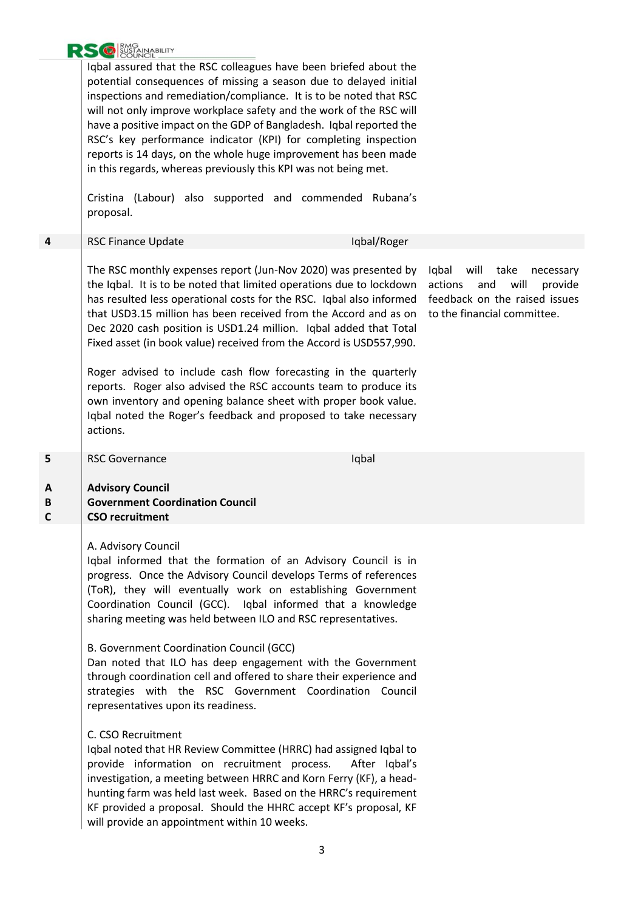

Iqbal assured that the RSC colleagues have been briefed about the potential consequences of missing a season due to delayed initial inspections and remediation/compliance. It is to be noted that RSC will not only improve workplace safety and the work of the RSC will have a positive impact on the GDP of Bangladesh. Iqbal reported the RSC's key performance indicator (KPI) for completing inspection reports is 14 days, on the whole huge improvement has been made in this regards, whereas previously this KPI was not being met.

Cristina (Labour) also supported and commended Rubana's proposal.

|  | RSC Finance Update |
|--|--------------------|
|--|--------------------|

The RSC monthly expenses report (Jun-Nov 2020) was presented by the Iqbal. It is to be noted that limited operations due to lockdown has resulted less operational costs for the RSC. Iqbal also informed that USD3.15 million has been received from the Accord and as on Dec 2020 cash position is USD1.24 million. Iqbal added that Total Fixed asset (in book value) received from the Accord is USD557,990.

Roger advised to include cash flow forecasting in the quarterly reports. Roger also advised the RSC accounts team to produce its own inventory and opening balance sheet with proper book value. Iqbal noted the Roger's feedback and proposed to take necessary actions.

Iqbal will take necessary actions and will provide feedback on the raised issues to the financial committee.

| <b>RSC Governance</b> |
|-----------------------|

Iqbal

**lqbal/Roger** 

#### **A Advisory Council**

#### **B C Government Coordination Council CSO recruitment**

## A. Advisory Council

Iqbal informed that the formation of an Advisory Council is in progress. Once the Advisory Council develops Terms of references (ToR), they will eventually work on establishing Government Coordination Council (GCC). Iqbal informed that a knowledge sharing meeting was held between ILO and RSC representatives.

### B. Government Coordination Council (GCC)

Dan noted that ILO has deep engagement with the Government through coordination cell and offered to share their experience and strategies with the RSC Government Coordination Council representatives upon its readiness.

## C. CSO Recruitment

Iqbal noted that HR Review Committee (HRRC) had assigned Iqbal to provide information on recruitment process. After Iqbal's investigation, a meeting between HRRC and Korn Ferry (KF), a headhunting farm was held last week. Based on the HRRC's requirement KF provided a proposal. Should the HHRC accept KF's proposal, KF will provide an appointment within 10 weeks.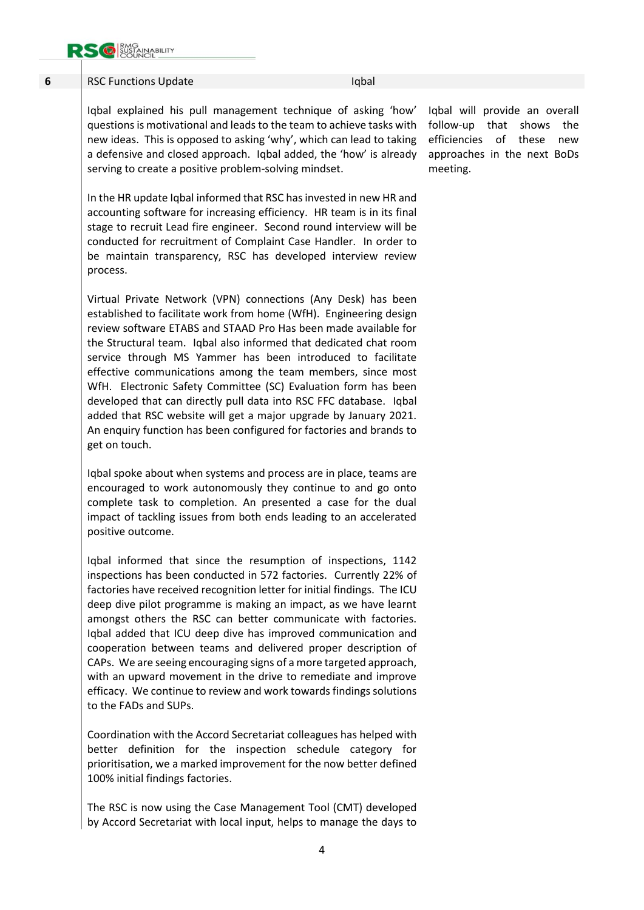

positive outcome.

| 6 | <b>RSC Functions Update</b>                                                                                                                                                                                                                                                                                                                                                                                                                                                                                                                                                                                                                                                                                   | Iqbal |                                                                                                                               |     |
|---|---------------------------------------------------------------------------------------------------------------------------------------------------------------------------------------------------------------------------------------------------------------------------------------------------------------------------------------------------------------------------------------------------------------------------------------------------------------------------------------------------------------------------------------------------------------------------------------------------------------------------------------------------------------------------------------------------------------|-------|-------------------------------------------------------------------------------------------------------------------------------|-----|
|   | Iqbal explained his pull management technique of asking 'how'<br>questions is motivational and leads to the team to achieve tasks with<br>new ideas. This is opposed to asking 'why', which can lead to taking<br>a defensive and closed approach. Iqbal added, the 'how' is already<br>serving to create a positive problem-solving mindset.                                                                                                                                                                                                                                                                                                                                                                 |       | Iqbal will provide an overall<br>follow-up that shows the<br>efficiencies of these<br>approaches in the next BoDs<br>meeting. | new |
|   | In the HR update Iqbal informed that RSC has invested in new HR and<br>accounting software for increasing efficiency. HR team is in its final<br>stage to recruit Lead fire engineer. Second round interview will be<br>conducted for recruitment of Complaint Case Handler. In order to<br>be maintain transparency, RSC has developed interview review<br>process.                                                                                                                                                                                                                                                                                                                                          |       |                                                                                                                               |     |
|   | Virtual Private Network (VPN) connections (Any Desk) has been<br>established to facilitate work from home (WfH). Engineering design<br>review software ETABS and STAAD Pro Has been made available for<br>the Structural team. Iqbal also informed that dedicated chat room<br>service through MS Yammer has been introduced to facilitate<br>effective communications among the team members, since most<br>WfH. Electronic Safety Committee (SC) Evaluation form has been<br>developed that can directly pull data into RSC FFC database. Iqbal<br>added that RSC website will get a major upgrade by January 2021.<br>An enquiry function has been configured for factories and brands to<br>get on touch. |       |                                                                                                                               |     |
|   | Iqbal spoke about when systems and process are in place, teams are<br>encouraged to work autonomously they continue to and go onto<br>complete task to completion. An presented a case for the dual                                                                                                                                                                                                                                                                                                                                                                                                                                                                                                           |       |                                                                                                                               |     |

Iqbal informed that since the resumption of inspections, 1142 inspections has been conducted in 572 factories. Currently 22% of factories have received recognition letter for initial findings. The ICU deep dive pilot programme is making an impact, as we have learnt amongst others the RSC can better communicate with factories. Iqbal added that ICU deep dive has improved communication and cooperation between teams and delivered proper description of CAPs. We are seeing encouraging signs of a more targeted approach, with an upward movement in the drive to remediate and improve efficacy. We continue to review and work towards findings solutions to the FADs and SUPs.

impact of tackling issues from both ends leading to an accelerated

Coordination with the Accord Secretariat colleagues has helped with better definition for the inspection schedule category for prioritisation, we a marked improvement for the now better defined 100% initial findings factories.

The RSC is now using the Case Management Tool (CMT) developed by Accord Secretariat with local input, helps to manage the days to

4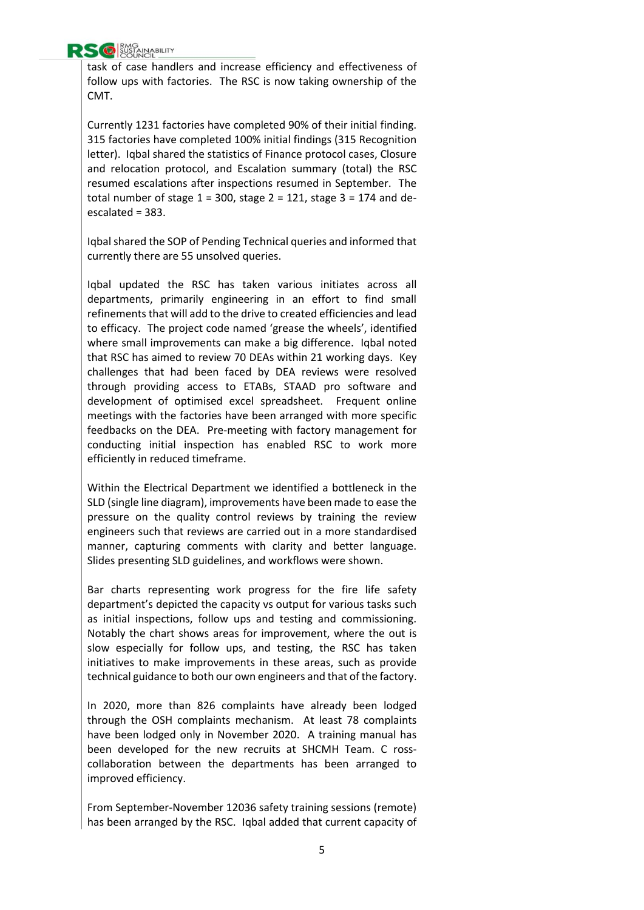

task of case handlers and increase efficiency and effectiveness of follow ups with factories. The RSC is now taking ownership of the CMT.

Currently 1231 factories have completed 90% of their initial finding. 315 factories have completed 100% initial findings (315 Recognition letter). Iqbal shared the statistics of Finance protocol cases, Closure and relocation protocol, and Escalation summary (total) the RSC resumed escalations after inspections resumed in September. The total number of stage  $1 = 300$ , stage  $2 = 121$ , stage  $3 = 174$  and deescalated = 383.

Iqbal shared the SOP of Pending Technical queries and informed that currently there are 55 unsolved queries.

Iqbal updated the RSC has taken various initiates across all departments, primarily engineering in an effort to find small refinements that will add to the drive to created efficiencies and lead to efficacy. The project code named 'grease the wheels', identified where small improvements can make a big difference. Iqbal noted that RSC has aimed to review 70 DEAs within 21 working days. Key challenges that had been faced by DEA reviews were resolved through providing access to ETABs, STAAD pro software and development of optimised excel spreadsheet. Frequent online meetings with the factories have been arranged with more specific feedbacks on the DEA. Pre-meeting with factory management for conducting initial inspection has enabled RSC to work more efficiently in reduced timeframe.

Within the Electrical Department we identified a bottleneck in the SLD (single line diagram), improvements have been made to ease the pressure on the quality control reviews by training the review engineers such that reviews are carried out in a more standardised manner, capturing comments with clarity and better language. Slides presenting SLD guidelines, and workflows were shown.

Bar charts representing work progress for the fire life safety department's depicted the capacity vs output for various tasks such as initial inspections, follow ups and testing and commissioning. Notably the chart shows areas for improvement, where the out is slow especially for follow ups, and testing, the RSC has taken initiatives to make improvements in these areas, such as provide technical guidance to both our own engineers and that of the factory.

In 2020, more than 826 complaints have already been lodged through the OSH complaints mechanism. At least 78 complaints have been lodged only in November 2020. A training manual has been developed for the new recruits at SHCMH Team. C rosscollaboration between the departments has been arranged to improved efficiency.

From September-November 12036 safety training sessions (remote) has been arranged by the RSC. Iqbal added that current capacity of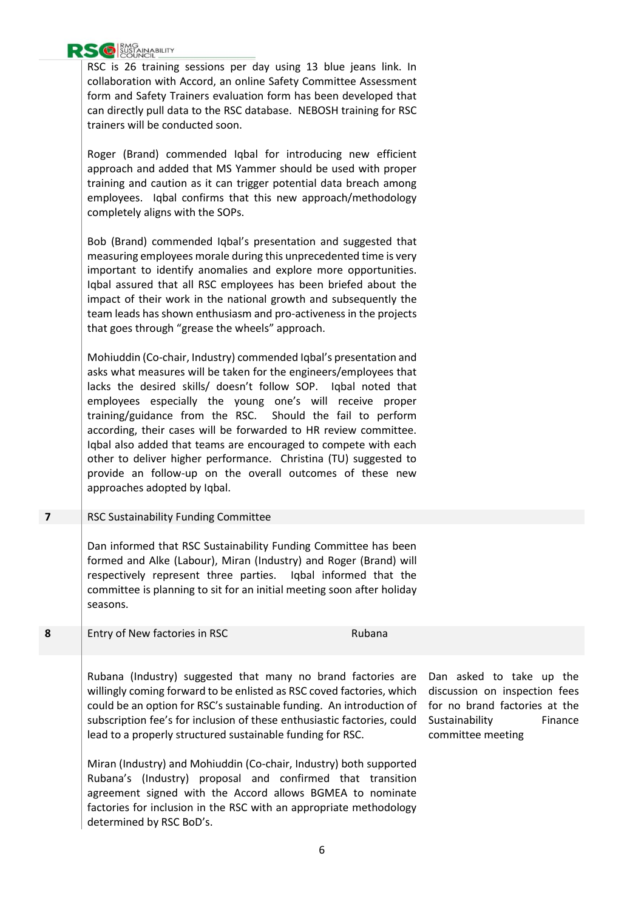

RSC is 26 training sessions per day using 13 blue jeans link. In collaboration with Accord, an online Safety Committee Assessment form and Safety Trainers evaluation form has been developed that can directly pull data to the RSC database. NEBOSH training for RSC trainers will be conducted soon.

Roger (Brand) commended Iqbal for introducing new efficient approach and added that MS Yammer should be used with proper training and caution as it can trigger potential data breach among employees. Iqbal confirms that this new approach/methodology completely aligns with the SOPs.

Bob (Brand) commended Iqbal's presentation and suggested that measuring employees morale during this unprecedented time is very important to identify anomalies and explore more opportunities. Iqbal assured that all RSC employees has been briefed about the impact of their work in the national growth and subsequently the team leads has shown enthusiasm and pro-activeness in the projects that goes through "grease the wheels" approach.

Mohiuddin (Co-chair, Industry) commended Iqbal's presentation and asks what measures will be taken for the engineers/employees that lacks the desired skills/ doesn't follow SOP. Iqbal noted that employees especially the young one's will receive proper training/guidance from the RSC. Should the fail to perform according, their cases will be forwarded to HR review committee. Iqbal also added that teams are encouraged to compete with each other to deliver higher performance. Christina (TU) suggested to provide an follow-up on the overall outcomes of these new approaches adopted by Iqbal.

## **7** RSC Sustainability Funding Committee

Dan informed that RSC Sustainability Funding Committee has been formed and Alke (Labour), Miran (Industry) and Roger (Brand) will respectively represent three parties. Iqbal informed that the committee is planning to sit for an initial meeting soon after holiday seasons.

**8** Entry of New factories in RSC Rubana

Rubana (Industry) suggested that many no brand factories are willingly coming forward to be enlisted as RSC coved factories, which could be an option for RSC's sustainable funding. An introduction of subscription fee's for inclusion of these enthusiastic factories, could lead to a properly structured sustainable funding for RSC.

Miran (Industry) and Mohiuddin (Co-chair, Industry) both supported Rubana's (Industry) proposal and confirmed that transition agreement signed with the Accord allows BGMEA to nominate factories for inclusion in the RSC with an appropriate methodology determined by RSC BoD's.

Dan asked to take up the discussion on inspection fees for no brand factories at the Sustainability **Finance** committee meeting